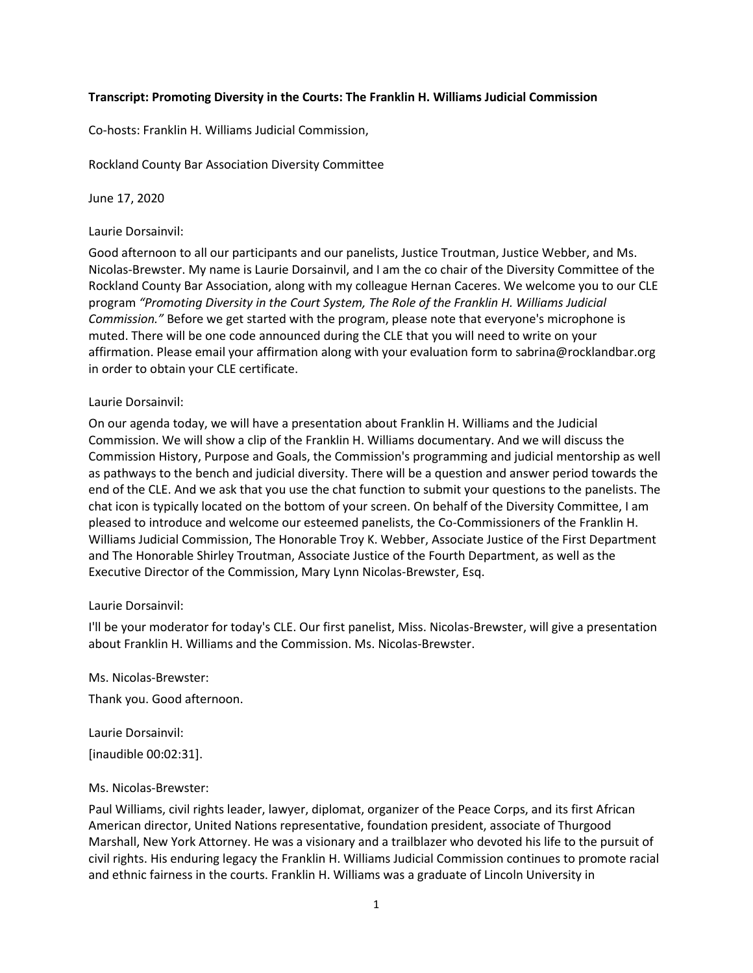## **Transcript: Promoting Diversity in the Courts: The Franklin H. Williams Judicial Commission**

Co-hosts: Franklin H. Williams Judicial Commission,

Rockland County Bar Association Diversity Committee

June 17, 2020

### Laurie Dorsainvil:

Good afternoon to all our participants and our panelists, Justice Troutman, Justice Webber, and Ms. Nicolas-Brewster. My name is Laurie Dorsainvil, and I am the co chair of the Diversity Committee of the Rockland County Bar Association, along with my colleague Hernan Caceres. We welcome you to our CLE program *"Promoting Diversity in the Court System, The Role of the Franklin H. Williams Judicial Commission."* Before we get started with the program, please note that everyone's microphone is muted. There will be one code announced during the CLE that you will need to write on your affirmation. Please email your affirmation along with your evaluation form to sabrina@rocklandbar.org in order to obtain your CLE certificate.

### Laurie Dorsainvil:

On our agenda today, we will have a presentation about Franklin H. Williams and the Judicial Commission. We will show a clip of the Franklin H. Williams documentary. And we will discuss the Commission History, Purpose and Goals, the Commission's programming and judicial mentorship as well as pathways to the bench and judicial diversity. There will be a question and answer period towards the end of the CLE. And we ask that you use the chat function to submit your questions to the panelists. The chat icon is typically located on the bottom of your screen. On behalf of the Diversity Committee, I am pleased to introduce and welcome our esteemed panelists, the Co-Commissioners of the Franklin H. Williams Judicial Commission, The Honorable Troy K. Webber, Associate Justice of the First Department and The Honorable Shirley Troutman, Associate Justice of the Fourth Department, as well as the Executive Director of the Commission, Mary Lynn Nicolas-Brewster, Esq.

#### Laurie Dorsainvil:

I'll be your moderator for today's CLE. Our first panelist, Miss. Nicolas-Brewster, will give a presentation about Franklin H. Williams and the Commission. Ms. Nicolas-Brewster.

Ms. Nicolas-Brewster:

Thank you. Good afternoon.

Laurie Dorsainvil:

[inaudible 00:02:31].

#### Ms. Nicolas-Brewster:

Paul Williams, civil rights leader, lawyer, diplomat, organizer of the Peace Corps, and its first African American director, United Nations representative, foundation president, associate of Thurgood Marshall, New York Attorney. He was a visionary and a trailblazer who devoted his life to the pursuit of civil rights. His enduring legacy the Franklin H. Williams Judicial Commission continues to promote racial and ethnic fairness in the courts. Franklin H. Williams was a graduate of Lincoln University in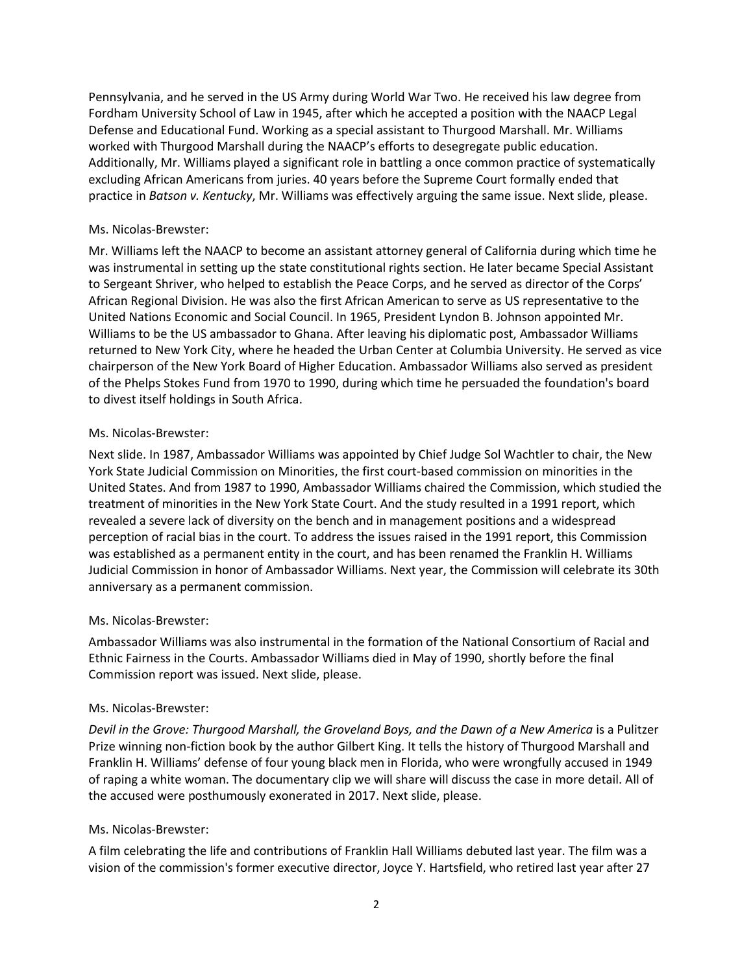Pennsylvania, and he served in the US Army during World War Two. He received his law degree from Fordham University School of Law in 1945, after which he accepted a position with the NAACP Legal Defense and Educational Fund. Working as a special assistant to Thurgood Marshall. Mr. Williams worked with Thurgood Marshall during the NAACP's efforts to desegregate public education. Additionally, Mr. Williams played a significant role in battling a once common practice of systematically excluding African Americans from juries. 40 years before the Supreme Court formally ended that practice in *Batson v. Kentucky*, Mr. Williams was effectively arguing the same issue. Next slide, please.

### Ms. Nicolas-Brewster:

Mr. Williams left the NAACP to become an assistant attorney general of California during which time he was instrumental in setting up the state constitutional rights section. He later became Special Assistant to Sergeant Shriver, who helped to establish the Peace Corps, and he served as director of the Corps' African Regional Division. He was also the first African American to serve as US representative to the United Nations Economic and Social Council. In 1965, President Lyndon B. Johnson appointed Mr. Williams to be the US ambassador to Ghana. After leaving his diplomatic post, Ambassador Williams returned to New York City, where he headed the Urban Center at Columbia University. He served as vice chairperson of the New York Board of Higher Education. Ambassador Williams also served as president of the Phelps Stokes Fund from 1970 to 1990, during which time he persuaded the foundation's board to divest itself holdings in South Africa.

### Ms. Nicolas-Brewster:

Next slide. In 1987, Ambassador Williams was appointed by Chief Judge Sol Wachtler to chair, the New York State Judicial Commission on Minorities, the first court-based commission on minorities in the United States. And from 1987 to 1990, Ambassador Williams chaired the Commission, which studied the treatment of minorities in the New York State Court. And the study resulted in a 1991 report, which revealed a severe lack of diversity on the bench and in management positions and a widespread perception of racial bias in the court. To address the issues raised in the 1991 report, this Commission was established as a permanent entity in the court, and has been renamed the Franklin H. Williams Judicial Commission in honor of Ambassador Williams. Next year, the Commission will celebrate its 30th anniversary as a permanent commission.

## Ms. Nicolas-Brewster:

Ambassador Williams was also instrumental in the formation of the National Consortium of Racial and Ethnic Fairness in the Courts. Ambassador Williams died in May of 1990, shortly before the final Commission report was issued. Next slide, please.

#### Ms. Nicolas-Brewster:

*Devil in the Grove: Thurgood Marshall, the Groveland Boys, and the Dawn of a New America* is a Pulitzer Prize winning non-fiction book by the author Gilbert King. It tells the history of Thurgood Marshall and Franklin H. Williams' defense of four young black men in Florida, who were wrongfully accused in 1949 of raping a white woman. The documentary clip we will share will discuss the case in more detail. All of the accused were posthumously exonerated in 2017. Next slide, please.

## Ms. Nicolas-Brewster:

A film celebrating the life and contributions of Franklin Hall Williams debuted last year. The film was a vision of the commission's former executive director, Joyce Y. Hartsfield, who retired last year after 27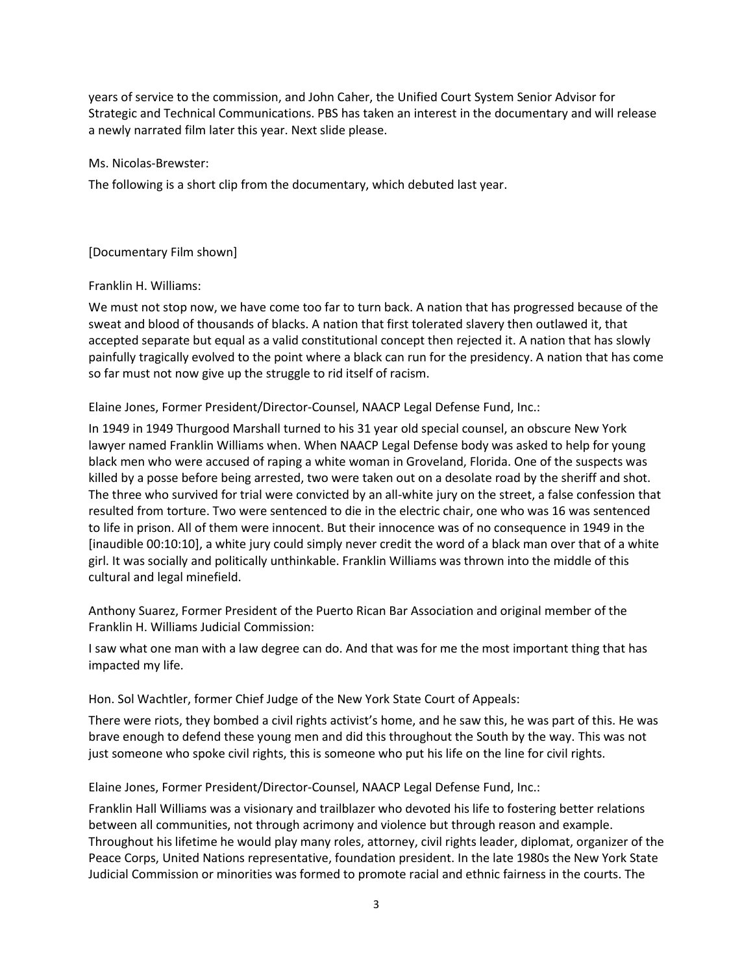years of service to the commission, and John Caher, the Unified Court System Senior Advisor for Strategic and Technical Communications. PBS has taken an interest in the documentary and will release a newly narrated film later this year. Next slide please.

Ms. Nicolas-Brewster:

The following is a short clip from the documentary, which debuted last year.

## [Documentary Film shown]

## Franklin H. Williams:

We must not stop now, we have come too far to turn back. A nation that has progressed because of the sweat and blood of thousands of blacks. A nation that first tolerated slavery then outlawed it, that accepted separate but equal as a valid constitutional concept then rejected it. A nation that has slowly painfully tragically evolved to the point where a black can run for the presidency. A nation that has come so far must not now give up the struggle to rid itself of racism.

Elaine Jones, Former President/Director-Counsel, NAACP Legal Defense Fund, Inc.:

In 1949 in 1949 Thurgood Marshall turned to his 31 year old special counsel, an obscure New York lawyer named Franklin Williams when. When NAACP Legal Defense body was asked to help for young black men who were accused of raping a white woman in Groveland, Florida. One of the suspects was killed by a posse before being arrested, two were taken out on a desolate road by the sheriff and shot. The three who survived for trial were convicted by an all-white jury on the street, a false confession that resulted from torture. Two were sentenced to die in the electric chair, one who was 16 was sentenced to life in prison. All of them were innocent. But their innocence was of no consequence in 1949 in the [inaudible 00:10:10], a white jury could simply never credit the word of a black man over that of a white girl. It was socially and politically unthinkable. Franklin Williams was thrown into the middle of this cultural and legal minefield.

Anthony Suarez, Former President of the Puerto Rican Bar Association and original member of the Franklin H. Williams Judicial Commission:

I saw what one man with a law degree can do. And that was for me the most important thing that has impacted my life.

Hon. Sol Wachtler, former Chief Judge of the New York State Court of Appeals:

There were riots, they bombed a civil rights activist's home, and he saw this, he was part of this. He was brave enough to defend these young men and did this throughout the South by the way. This was not just someone who spoke civil rights, this is someone who put his life on the line for civil rights.

Elaine Jones, Former President/Director-Counsel, NAACP Legal Defense Fund, Inc.:

Franklin Hall Williams was a visionary and trailblazer who devoted his life to fostering better relations between all communities, not through acrimony and violence but through reason and example. Throughout his lifetime he would play many roles, attorney, civil rights leader, diplomat, organizer of the Peace Corps, United Nations representative, foundation president. In the late 1980s the New York State Judicial Commission or minorities was formed to promote racial and ethnic fairness in the courts. The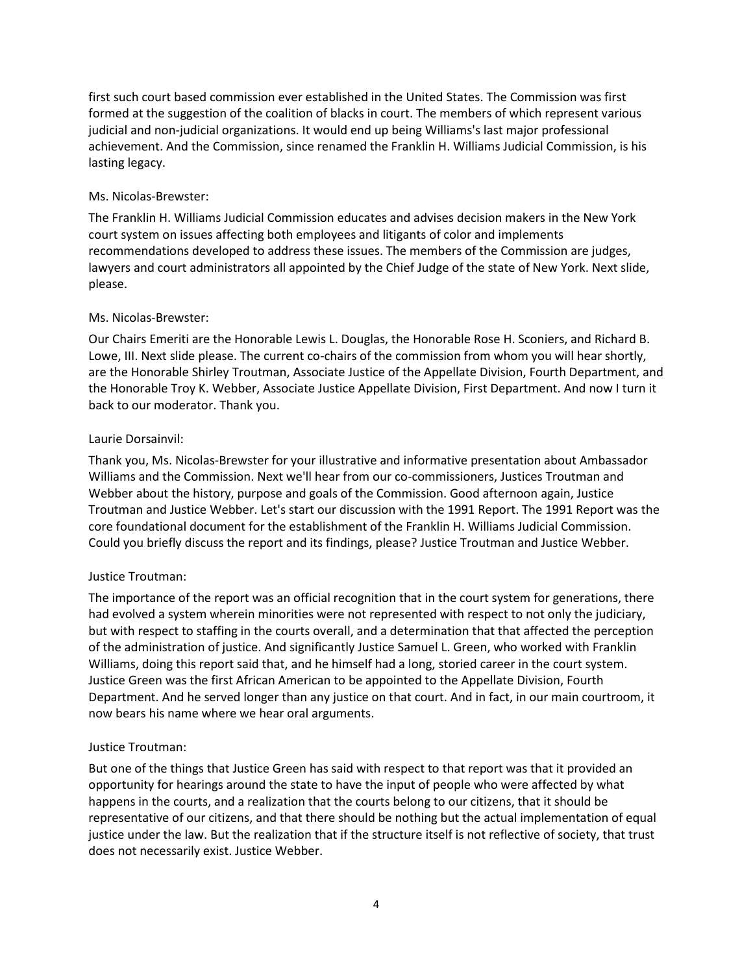first such court based commission ever established in the United States. The Commission was first formed at the suggestion of the coalition of blacks in court. The members of which represent various judicial and non-judicial organizations. It would end up being Williams's last major professional achievement. And the Commission, since renamed the Franklin H. Williams Judicial Commission, is his lasting legacy.

## Ms. Nicolas-Brewster:

The Franklin H. Williams Judicial Commission educates and advises decision makers in the New York court system on issues affecting both employees and litigants of color and implements recommendations developed to address these issues. The members of the Commission are judges, lawyers and court administrators all appointed by the Chief Judge of the state of New York. Next slide, please.

# Ms. Nicolas-Brewster:

Our Chairs Emeriti are the Honorable Lewis L. Douglas, the Honorable Rose H. Sconiers, and Richard B. Lowe, III. Next slide please. The current co-chairs of the commission from whom you will hear shortly, are the Honorable Shirley Troutman, Associate Justice of the Appellate Division, Fourth Department, and the Honorable Troy K. Webber, Associate Justice Appellate Division, First Department. And now I turn it back to our moderator. Thank you.

# Laurie Dorsainvil:

Thank you, Ms. Nicolas-Brewster for your illustrative and informative presentation about Ambassador Williams and the Commission. Next we'll hear from our co-commissioners, Justices Troutman and Webber about the history, purpose and goals of the Commission. Good afternoon again, Justice Troutman and Justice Webber. Let's start our discussion with the 1991 Report. The 1991 Report was the core foundational document for the establishment of the Franklin H. Williams Judicial Commission. Could you briefly discuss the report and its findings, please? Justice Troutman and Justice Webber.

# Justice Troutman:

The importance of the report was an official recognition that in the court system for generations, there had evolved a system wherein minorities were not represented with respect to not only the judiciary, but with respect to staffing in the courts overall, and a determination that that affected the perception of the administration of justice. And significantly Justice Samuel L. Green, who worked with Franklin Williams, doing this report said that, and he himself had a long, storied career in the court system. Justice Green was the first African American to be appointed to the Appellate Division, Fourth Department. And he served longer than any justice on that court. And in fact, in our main courtroom, it now bears his name where we hear oral arguments.

## Justice Troutman:

But one of the things that Justice Green has said with respect to that report was that it provided an opportunity for hearings around the state to have the input of people who were affected by what happens in the courts, and a realization that the courts belong to our citizens, that it should be representative of our citizens, and that there should be nothing but the actual implementation of equal justice under the law. But the realization that if the structure itself is not reflective of society, that trust does not necessarily exist. Justice Webber.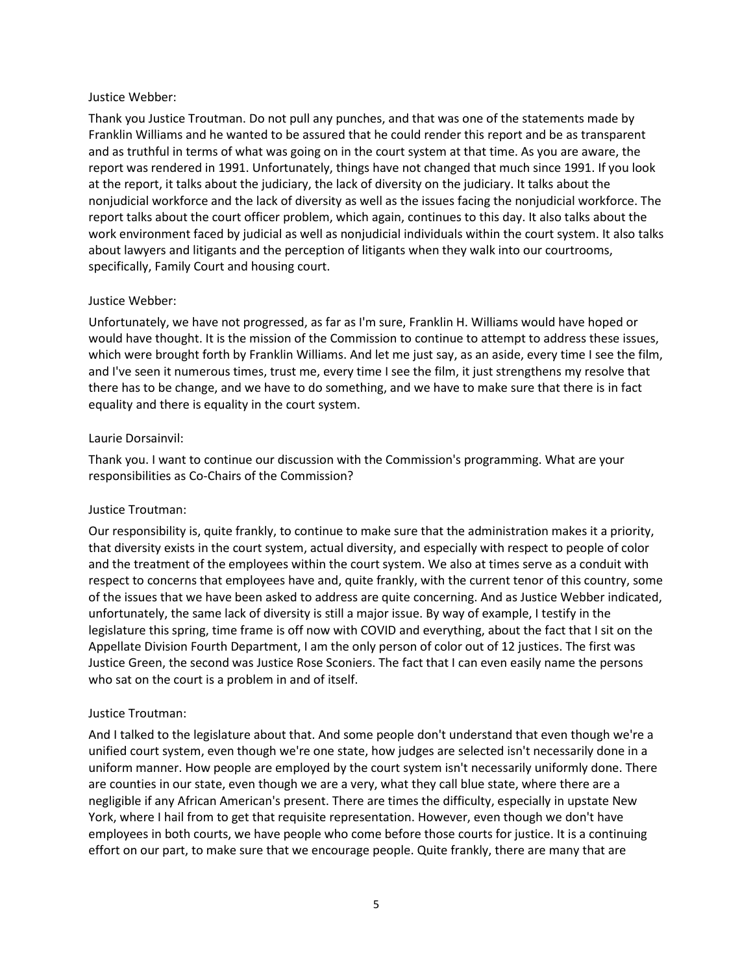### Justice Webber:

Thank you Justice Troutman. Do not pull any punches, and that was one of the statements made by Franklin Williams and he wanted to be assured that he could render this report and be as transparent and as truthful in terms of what was going on in the court system at that time. As you are aware, the report was rendered in 1991. Unfortunately, things have not changed that much since 1991. If you look at the report, it talks about the judiciary, the lack of diversity on the judiciary. It talks about the nonjudicial workforce and the lack of diversity as well as the issues facing the nonjudicial workforce. The report talks about the court officer problem, which again, continues to this day. It also talks about the work environment faced by judicial as well as nonjudicial individuals within the court system. It also talks about lawyers and litigants and the perception of litigants when they walk into our courtrooms, specifically, Family Court and housing court.

## Justice Webber:

Unfortunately, we have not progressed, as far as I'm sure, Franklin H. Williams would have hoped or would have thought. It is the mission of the Commission to continue to attempt to address these issues, which were brought forth by Franklin Williams. And let me just say, as an aside, every time I see the film, and I've seen it numerous times, trust me, every time I see the film, it just strengthens my resolve that there has to be change, and we have to do something, and we have to make sure that there is in fact equality and there is equality in the court system.

### Laurie Dorsainvil:

Thank you. I want to continue our discussion with the Commission's programming. What are your responsibilities as Co-Chairs of the Commission?

## Justice Troutman:

Our responsibility is, quite frankly, to continue to make sure that the administration makes it a priority, that diversity exists in the court system, actual diversity, and especially with respect to people of color and the treatment of the employees within the court system. We also at times serve as a conduit with respect to concerns that employees have and, quite frankly, with the current tenor of this country, some of the issues that we have been asked to address are quite concerning. And as Justice Webber indicated, unfortunately, the same lack of diversity is still a major issue. By way of example, I testify in the legislature this spring, time frame is off now with COVID and everything, about the fact that I sit on the Appellate Division Fourth Department, I am the only person of color out of 12 justices. The first was Justice Green, the second was Justice Rose Sconiers. The fact that I can even easily name the persons who sat on the court is a problem in and of itself.

## Justice Troutman:

And I talked to the legislature about that. And some people don't understand that even though we're a unified court system, even though we're one state, how judges are selected isn't necessarily done in a uniform manner. How people are employed by the court system isn't necessarily uniformly done. There are counties in our state, even though we are a very, what they call blue state, where there are a negligible if any African American's present. There are times the difficulty, especially in upstate New York, where I hail from to get that requisite representation. However, even though we don't have employees in both courts, we have people who come before those courts for justice. It is a continuing effort on our part, to make sure that we encourage people. Quite frankly, there are many that are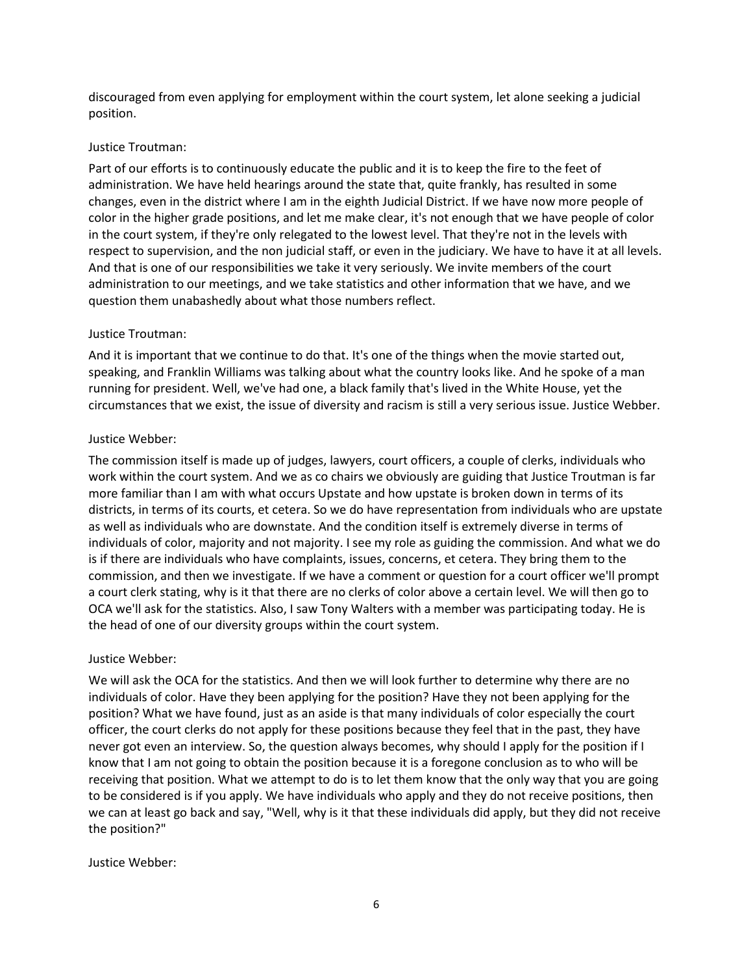discouraged from even applying for employment within the court system, let alone seeking a judicial position.

### Justice Troutman:

Part of our efforts is to continuously educate the public and it is to keep the fire to the feet of administration. We have held hearings around the state that, quite frankly, has resulted in some changes, even in the district where I am in the eighth Judicial District. If we have now more people of color in the higher grade positions, and let me make clear, it's not enough that we have people of color in the court system, if they're only relegated to the lowest level. That they're not in the levels with respect to supervision, and the non judicial staff, or even in the judiciary. We have to have it at all levels. And that is one of our responsibilities we take it very seriously. We invite members of the court administration to our meetings, and we take statistics and other information that we have, and we question them unabashedly about what those numbers reflect.

# Justice Troutman:

And it is important that we continue to do that. It's one of the things when the movie started out, speaking, and Franklin Williams was talking about what the country looks like. And he spoke of a man running for president. Well, we've had one, a black family that's lived in the White House, yet the circumstances that we exist, the issue of diversity and racism is still a very serious issue. Justice Webber.

# Justice Webber:

The commission itself is made up of judges, lawyers, court officers, a couple of clerks, individuals who work within the court system. And we as co chairs we obviously are guiding that Justice Troutman is far more familiar than I am with what occurs Upstate and how upstate is broken down in terms of its districts, in terms of its courts, et cetera. So we do have representation from individuals who are upstate as well as individuals who are downstate. And the condition itself is extremely diverse in terms of individuals of color, majority and not majority. I see my role as guiding the commission. And what we do is if there are individuals who have complaints, issues, concerns, et cetera. They bring them to the commission, and then we investigate. If we have a comment or question for a court officer we'll prompt a court clerk stating, why is it that there are no clerks of color above a certain level. We will then go to OCA we'll ask for the statistics. Also, I saw Tony Walters with a member was participating today. He is the head of one of our diversity groups within the court system.

# Justice Webber:

We will ask the OCA for the statistics. And then we will look further to determine why there are no individuals of color. Have they been applying for the position? Have they not been applying for the position? What we have found, just as an aside is that many individuals of color especially the court officer, the court clerks do not apply for these positions because they feel that in the past, they have never got even an interview. So, the question always becomes, why should I apply for the position if I know that I am not going to obtain the position because it is a foregone conclusion as to who will be receiving that position. What we attempt to do is to let them know that the only way that you are going to be considered is if you apply. We have individuals who apply and they do not receive positions, then we can at least go back and say, "Well, why is it that these individuals did apply, but they did not receive the position?"

## Justice Webber: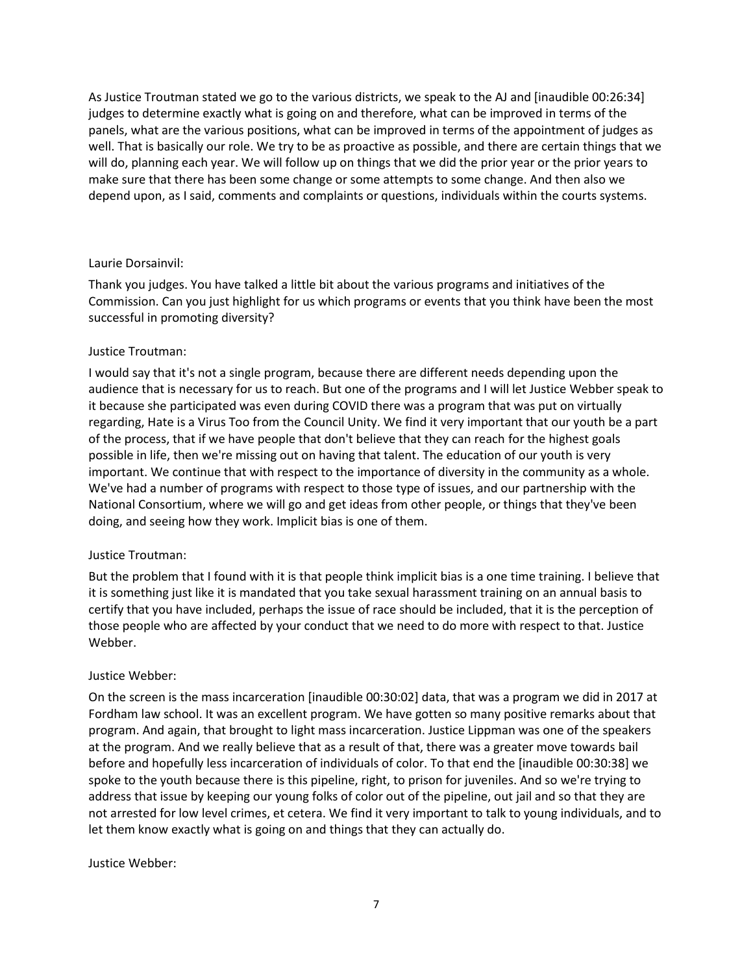As Justice Troutman stated we go to the various districts, we speak to the AJ and [inaudible 00:26:34] judges to determine exactly what is going on and therefore, what can be improved in terms of the panels, what are the various positions, what can be improved in terms of the appointment of judges as well. That is basically our role. We try to be as proactive as possible, and there are certain things that we will do, planning each year. We will follow up on things that we did the prior year or the prior years to make sure that there has been some change or some attempts to some change. And then also we depend upon, as I said, comments and complaints or questions, individuals within the courts systems.

### Laurie Dorsainvil:

Thank you judges. You have talked a little bit about the various programs and initiatives of the Commission. Can you just highlight for us which programs or events that you think have been the most successful in promoting diversity?

### Justice Troutman:

I would say that it's not a single program, because there are different needs depending upon the audience that is necessary for us to reach. But one of the programs and I will let Justice Webber speak to it because she participated was even during COVID there was a program that was put on virtually regarding, Hate is a Virus Too from the Council Unity. We find it very important that our youth be a part of the process, that if we have people that don't believe that they can reach for the highest goals possible in life, then we're missing out on having that talent. The education of our youth is very important. We continue that with respect to the importance of diversity in the community as a whole. We've had a number of programs with respect to those type of issues, and our partnership with the National Consortium, where we will go and get ideas from other people, or things that they've been doing, and seeing how they work. Implicit bias is one of them.

## Justice Troutman:

But the problem that I found with it is that people think implicit bias is a one time training. I believe that it is something just like it is mandated that you take sexual harassment training on an annual basis to certify that you have included, perhaps the issue of race should be included, that it is the perception of those people who are affected by your conduct that we need to do more with respect to that. Justice Webber.

#### Justice Webber:

On the screen is the mass incarceration [inaudible 00:30:02] data, that was a program we did in 2017 at Fordham law school. It was an excellent program. We have gotten so many positive remarks about that program. And again, that brought to light mass incarceration. Justice Lippman was one of the speakers at the program. And we really believe that as a result of that, there was a greater move towards bail before and hopefully less incarceration of individuals of color. To that end the [inaudible 00:30:38] we spoke to the youth because there is this pipeline, right, to prison for juveniles. And so we're trying to address that issue by keeping our young folks of color out of the pipeline, out jail and so that they are not arrested for low level crimes, et cetera. We find it very important to talk to young individuals, and to let them know exactly what is going on and things that they can actually do.

#### Justice Webber: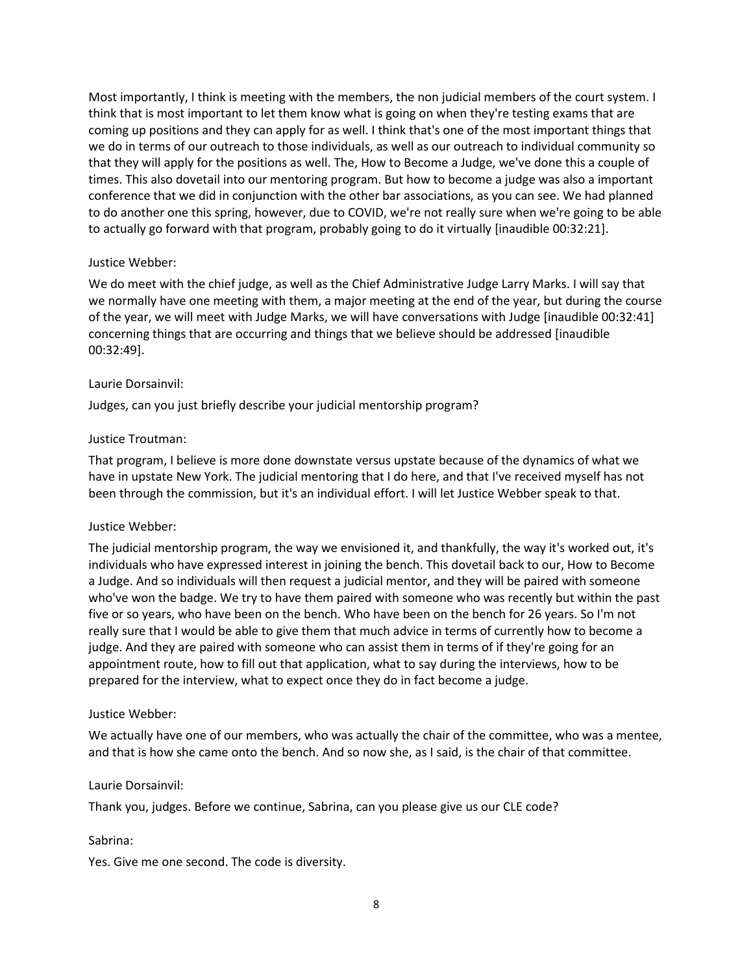Most importantly, I think is meeting with the members, the non judicial members of the court system. I think that is most important to let them know what is going on when they're testing exams that are coming up positions and they can apply for as well. I think that's one of the most important things that we do in terms of our outreach to those individuals, as well as our outreach to individual community so that they will apply for the positions as well. The, How to Become a Judge, we've done this a couple of times. This also dovetail into our mentoring program. But how to become a judge was also a important conference that we did in conjunction with the other bar associations, as you can see. We had planned to do another one this spring, however, due to COVID, we're not really sure when we're going to be able to actually go forward with that program, probably going to do it virtually [inaudible 00:32:21].

## Justice Webber:

We do meet with the chief judge, as well as the Chief Administrative Judge Larry Marks. I will say that we normally have one meeting with them, a major meeting at the end of the year, but during the course of the year, we will meet with Judge Marks, we will have conversations with Judge [inaudible 00:32:41] concerning things that are occurring and things that we believe should be addressed [inaudible 00:32:49].

#### Laurie Dorsainvil:

Judges, can you just briefly describe your judicial mentorship program?

### Justice Troutman:

That program, I believe is more done downstate versus upstate because of the dynamics of what we have in upstate New York. The judicial mentoring that I do here, and that I've received myself has not been through the commission, but it's an individual effort. I will let Justice Webber speak to that.

#### Justice Webber:

The judicial mentorship program, the way we envisioned it, and thankfully, the way it's worked out, it's individuals who have expressed interest in joining the bench. This dovetail back to our, How to Become a Judge. And so individuals will then request a judicial mentor, and they will be paired with someone who've won the badge. We try to have them paired with someone who was recently but within the past five or so years, who have been on the bench. Who have been on the bench for 26 years. So I'm not really sure that I would be able to give them that much advice in terms of currently how to become a judge. And they are paired with someone who can assist them in terms of if they're going for an appointment route, how to fill out that application, what to say during the interviews, how to be prepared for the interview, what to expect once they do in fact become a judge.

#### Justice Webber:

We actually have one of our members, who was actually the chair of the committee, who was a mentee, and that is how she came onto the bench. And so now she, as I said, is the chair of that committee.

#### Laurie Dorsainvil:

Thank you, judges. Before we continue, Sabrina, can you please give us our CLE code?

#### Sabrina:

Yes. Give me one second. The code is diversity.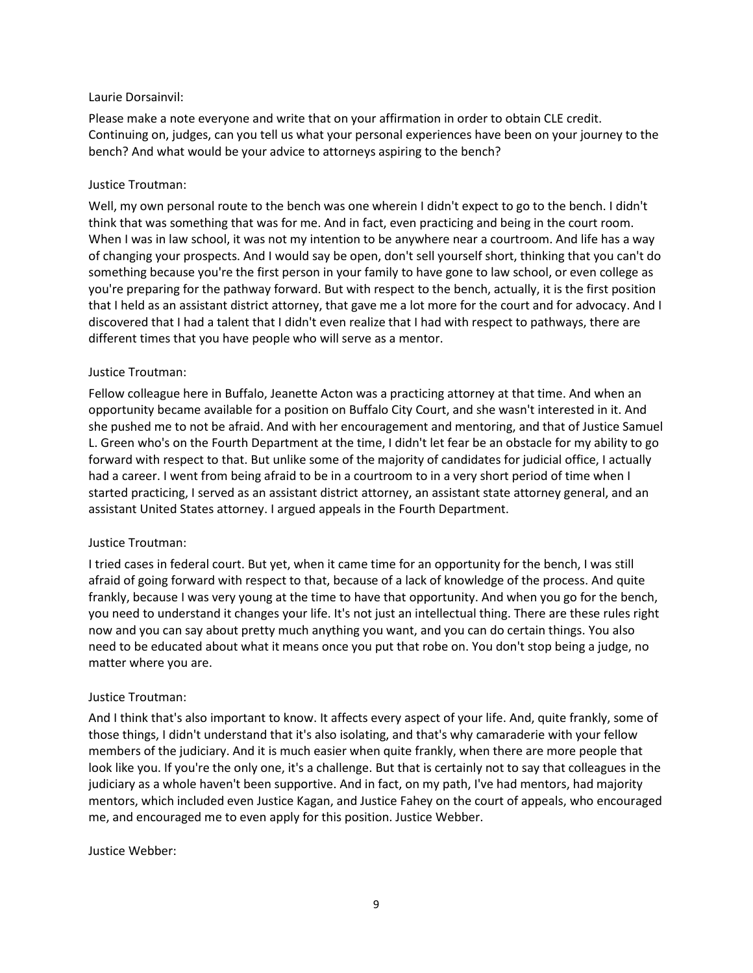### Laurie Dorsainvil:

Please make a note everyone and write that on your affirmation in order to obtain CLE credit. Continuing on, judges, can you tell us what your personal experiences have been on your journey to the bench? And what would be your advice to attorneys aspiring to the bench?

## Justice Troutman:

Well, my own personal route to the bench was one wherein I didn't expect to go to the bench. I didn't think that was something that was for me. And in fact, even practicing and being in the court room. When I was in law school, it was not my intention to be anywhere near a courtroom. And life has a way of changing your prospects. And I would say be open, don't sell yourself short, thinking that you can't do something because you're the first person in your family to have gone to law school, or even college as you're preparing for the pathway forward. But with respect to the bench, actually, it is the first position that I held as an assistant district attorney, that gave me a lot more for the court and for advocacy. And I discovered that I had a talent that I didn't even realize that I had with respect to pathways, there are different times that you have people who will serve as a mentor.

# Justice Troutman:

Fellow colleague here in Buffalo, Jeanette Acton was a practicing attorney at that time. And when an opportunity became available for a position on Buffalo City Court, and she wasn't interested in it. And she pushed me to not be afraid. And with her encouragement and mentoring, and that of Justice Samuel L. Green who's on the Fourth Department at the time, I didn't let fear be an obstacle for my ability to go forward with respect to that. But unlike some of the majority of candidates for judicial office, I actually had a career. I went from being afraid to be in a courtroom to in a very short period of time when I started practicing, I served as an assistant district attorney, an assistant state attorney general, and an assistant United States attorney. I argued appeals in the Fourth Department.

## Justice Troutman:

I tried cases in federal court. But yet, when it came time for an opportunity for the bench, I was still afraid of going forward with respect to that, because of a lack of knowledge of the process. And quite frankly, because I was very young at the time to have that opportunity. And when you go for the bench, you need to understand it changes your life. It's not just an intellectual thing. There are these rules right now and you can say about pretty much anything you want, and you can do certain things. You also need to be educated about what it means once you put that robe on. You don't stop being a judge, no matter where you are.

## Justice Troutman:

And I think that's also important to know. It affects every aspect of your life. And, quite frankly, some of those things, I didn't understand that it's also isolating, and that's why camaraderie with your fellow members of the judiciary. And it is much easier when quite frankly, when there are more people that look like you. If you're the only one, it's a challenge. But that is certainly not to say that colleagues in the judiciary as a whole haven't been supportive. And in fact, on my path, I've had mentors, had majority mentors, which included even Justice Kagan, and Justice Fahey on the court of appeals, who encouraged me, and encouraged me to even apply for this position. Justice Webber.

## Justice Webber: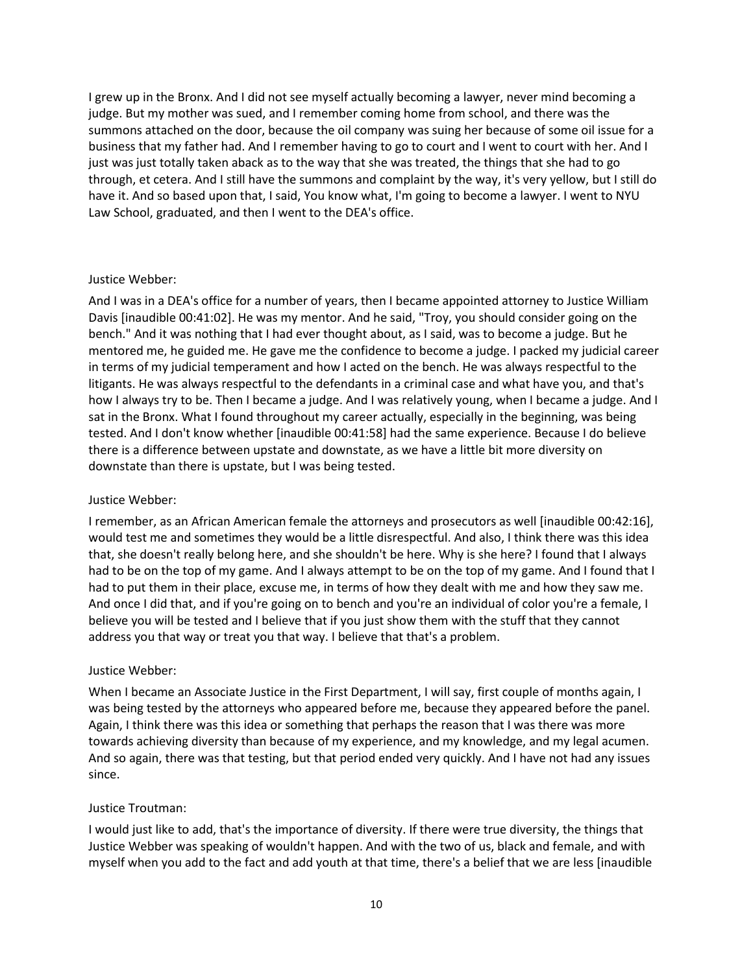I grew up in the Bronx. And I did not see myself actually becoming a lawyer, never mind becoming a judge. But my mother was sued, and I remember coming home from school, and there was the summons attached on the door, because the oil company was suing her because of some oil issue for a business that my father had. And I remember having to go to court and I went to court with her. And I just was just totally taken aback as to the way that she was treated, the things that she had to go through, et cetera. And I still have the summons and complaint by the way, it's very yellow, but I still do have it. And so based upon that, I said, You know what, I'm going to become a lawyer. I went to NYU Law School, graduated, and then I went to the DEA's office.

### Justice Webber:

And I was in a DEA's office for a number of years, then I became appointed attorney to Justice William Davis [inaudible 00:41:02]. He was my mentor. And he said, "Troy, you should consider going on the bench." And it was nothing that I had ever thought about, as I said, was to become a judge. But he mentored me, he guided me. He gave me the confidence to become a judge. I packed my judicial career in terms of my judicial temperament and how I acted on the bench. He was always respectful to the litigants. He was always respectful to the defendants in a criminal case and what have you, and that's how I always try to be. Then I became a judge. And I was relatively young, when I became a judge. And I sat in the Bronx. What I found throughout my career actually, especially in the beginning, was being tested. And I don't know whether [inaudible 00:41:58] had the same experience. Because I do believe there is a difference between upstate and downstate, as we have a little bit more diversity on downstate than there is upstate, but I was being tested.

## Justice Webber:

I remember, as an African American female the attorneys and prosecutors as well [inaudible 00:42:16], would test me and sometimes they would be a little disrespectful. And also, I think there was this idea that, she doesn't really belong here, and she shouldn't be here. Why is she here? I found that I always had to be on the top of my game. And I always attempt to be on the top of my game. And I found that I had to put them in their place, excuse me, in terms of how they dealt with me and how they saw me. And once I did that, and if you're going on to bench and you're an individual of color you're a female, I believe you will be tested and I believe that if you just show them with the stuff that they cannot address you that way or treat you that way. I believe that that's a problem.

## Justice Webber:

When I became an Associate Justice in the First Department, I will say, first couple of months again, I was being tested by the attorneys who appeared before me, because they appeared before the panel. Again, I think there was this idea or something that perhaps the reason that I was there was more towards achieving diversity than because of my experience, and my knowledge, and my legal acumen. And so again, there was that testing, but that period ended very quickly. And I have not had any issues since.

## Justice Troutman:

I would just like to add, that's the importance of diversity. If there were true diversity, the things that Justice Webber was speaking of wouldn't happen. And with the two of us, black and female, and with myself when you add to the fact and add youth at that time, there's a belief that we are less [inaudible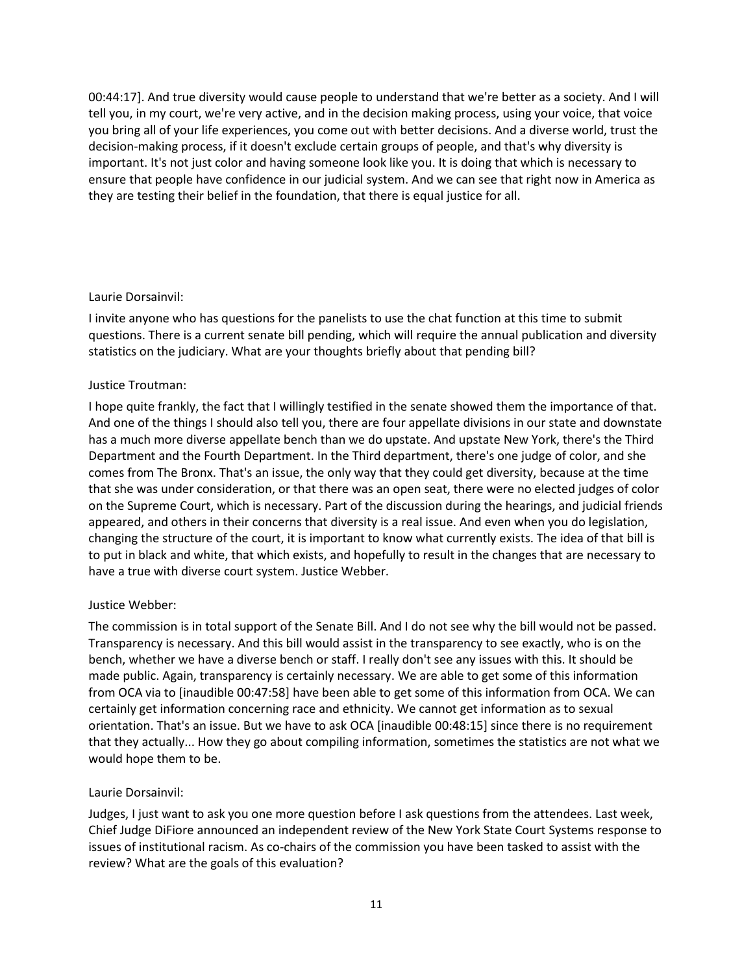00:44:17]. And true diversity would cause people to understand that we're better as a society. And I will tell you, in my court, we're very active, and in the decision making process, using your voice, that voice you bring all of your life experiences, you come out with better decisions. And a diverse world, trust the decision-making process, if it doesn't exclude certain groups of people, and that's why diversity is important. It's not just color and having someone look like you. It is doing that which is necessary to ensure that people have confidence in our judicial system. And we can see that right now in America as they are testing their belief in the foundation, that there is equal justice for all.

## Laurie Dorsainvil:

I invite anyone who has questions for the panelists to use the chat function at this time to submit questions. There is a current senate bill pending, which will require the annual publication and diversity statistics on the judiciary. What are your thoughts briefly about that pending bill?

# Justice Troutman:

I hope quite frankly, the fact that I willingly testified in the senate showed them the importance of that. And one of the things I should also tell you, there are four appellate divisions in our state and downstate has a much more diverse appellate bench than we do upstate. And upstate New York, there's the Third Department and the Fourth Department. In the Third department, there's one judge of color, and she comes from The Bronx. That's an issue, the only way that they could get diversity, because at the time that she was under consideration, or that there was an open seat, there were no elected judges of color on the Supreme Court, which is necessary. Part of the discussion during the hearings, and judicial friends appeared, and others in their concerns that diversity is a real issue. And even when you do legislation, changing the structure of the court, it is important to know what currently exists. The idea of that bill is to put in black and white, that which exists, and hopefully to result in the changes that are necessary to have a true with diverse court system. Justice Webber.

## Justice Webber:

The commission is in total support of the Senate Bill. And I do not see why the bill would not be passed. Transparency is necessary. And this bill would assist in the transparency to see exactly, who is on the bench, whether we have a diverse bench or staff. I really don't see any issues with this. It should be made public. Again, transparency is certainly necessary. We are able to get some of this information from OCA via to [inaudible 00:47:58] have been able to get some of this information from OCA. We can certainly get information concerning race and ethnicity. We cannot get information as to sexual orientation. That's an issue. But we have to ask OCA [inaudible 00:48:15] since there is no requirement that they actually... How they go about compiling information, sometimes the statistics are not what we would hope them to be.

## Laurie Dorsainvil:

Judges, I just want to ask you one more question before I ask questions from the attendees. Last week, Chief Judge DiFiore announced an independent review of the New York State Court Systems response to issues of institutional racism. As co-chairs of the commission you have been tasked to assist with the review? What are the goals of this evaluation?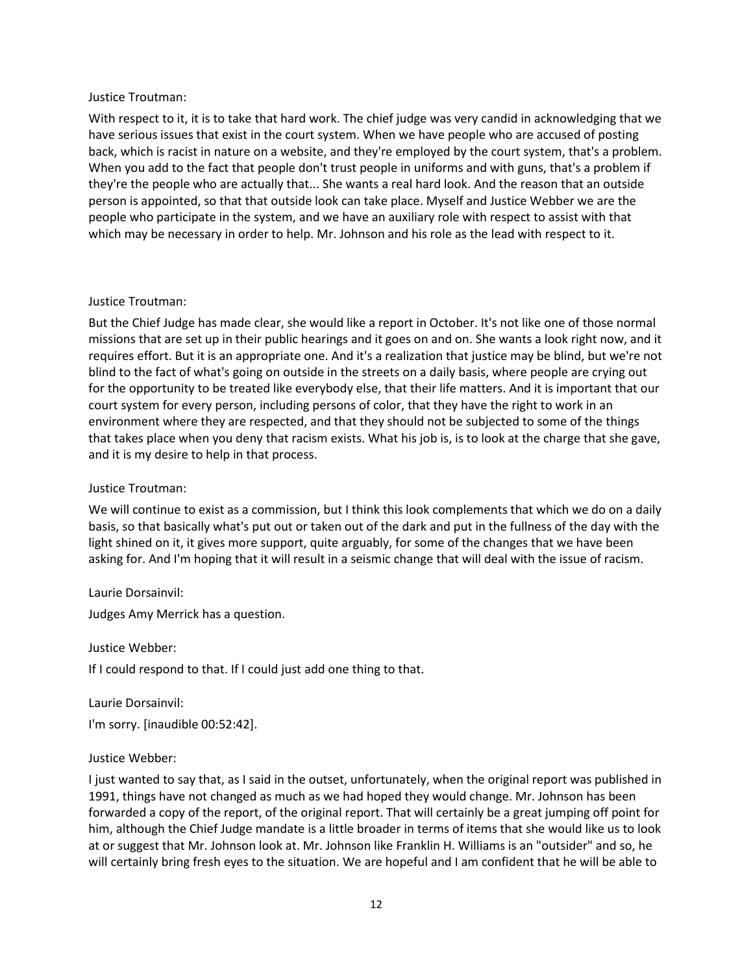### Justice Troutman:

With respect to it, it is to take that hard work. The chief judge was very candid in acknowledging that we have serious issues that exist in the court system. When we have people who are accused of posting back, which is racist in nature on a website, and they're employed by the court system, that's a problem. When you add to the fact that people don't trust people in uniforms and with guns, that's a problem if they're the people who are actually that... She wants a real hard look. And the reason that an outside person is appointed, so that that outside look can take place. Myself and Justice Webber we are the people who participate in the system, and we have an auxiliary role with respect to assist with that which may be necessary in order to help. Mr. Johnson and his role as the lead with respect to it.

### Justice Troutman:

But the Chief Judge has made clear, she would like a report in October. It's not like one of those normal missions that are set up in their public hearings and it goes on and on. She wants a look right now, and it requires effort. But it is an appropriate one. And it's a realization that justice may be blind, but we're not blind to the fact of what's going on outside in the streets on a daily basis, where people are crying out for the opportunity to be treated like everybody else, that their life matters. And it is important that our court system for every person, including persons of color, that they have the right to work in an environment where they are respected, and that they should not be subjected to some of the things that takes place when you deny that racism exists. What his job is, is to look at the charge that she gave, and it is my desire to help in that process.

## Justice Troutman:

We will continue to exist as a commission, but I think this look complements that which we do on a daily basis, so that basically what's put out or taken out of the dark and put in the fullness of the day with the light shined on it, it gives more support, quite arguably, for some of the changes that we have been asking for. And I'm hoping that it will result in a seismic change that will deal with the issue of racism.

Laurie Dorsainvil:

Judges Amy Merrick has a question.

Justice Webber:

If I could respond to that. If I could just add one thing to that.

Laurie Dorsainvil: I'm sorry. [inaudible 00:52:42].

## Justice Webber:

I just wanted to say that, as I said in the outset, unfortunately, when the original report was published in 1991, things have not changed as much as we had hoped they would change. Mr. Johnson has been forwarded a copy of the report, of the original report. That will certainly be a great jumping off point for him, although the Chief Judge mandate is a little broader in terms of items that she would like us to look at or suggest that Mr. Johnson look at. Mr. Johnson like Franklin H. Williams is an "outsider" and so, he will certainly bring fresh eyes to the situation. We are hopeful and I am confident that he will be able to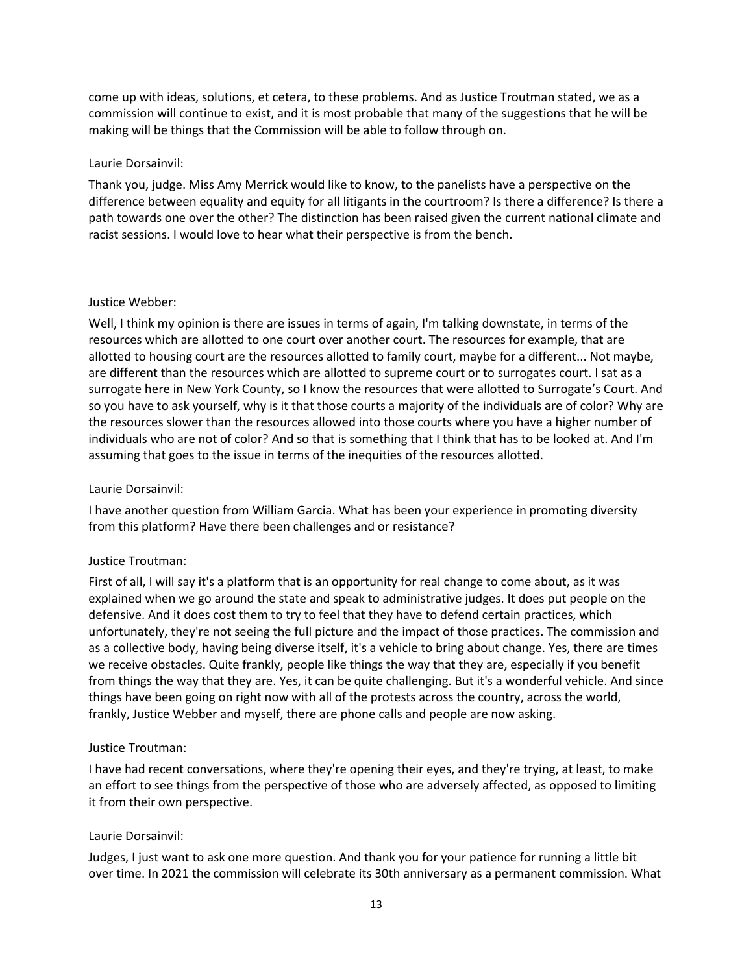come up with ideas, solutions, et cetera, to these problems. And as Justice Troutman stated, we as a commission will continue to exist, and it is most probable that many of the suggestions that he will be making will be things that the Commission will be able to follow through on.

### Laurie Dorsainvil:

Thank you, judge. Miss Amy Merrick would like to know, to the panelists have a perspective on the difference between equality and equity for all litigants in the courtroom? Is there a difference? Is there a path towards one over the other? The distinction has been raised given the current national climate and racist sessions. I would love to hear what their perspective is from the bench.

### Justice Webber:

Well, I think my opinion is there are issues in terms of again, I'm talking downstate, in terms of the resources which are allotted to one court over another court. The resources for example, that are allotted to housing court are the resources allotted to family court, maybe for a different... Not maybe, are different than the resources which are allotted to supreme court or to surrogates court. I sat as a surrogate here in New York County, so I know the resources that were allotted to Surrogate's Court. And so you have to ask yourself, why is it that those courts a majority of the individuals are of color? Why are the resources slower than the resources allowed into those courts where you have a higher number of individuals who are not of color? And so that is something that I think that has to be looked at. And I'm assuming that goes to the issue in terms of the inequities of the resources allotted.

## Laurie Dorsainvil:

I have another question from William Garcia. What has been your experience in promoting diversity from this platform? Have there been challenges and or resistance?

## Justice Troutman:

First of all, I will say it's a platform that is an opportunity for real change to come about, as it was explained when we go around the state and speak to administrative judges. It does put people on the defensive. And it does cost them to try to feel that they have to defend certain practices, which unfortunately, they're not seeing the full picture and the impact of those practices. The commission and as a collective body, having being diverse itself, it's a vehicle to bring about change. Yes, there are times we receive obstacles. Quite frankly, people like things the way that they are, especially if you benefit from things the way that they are. Yes, it can be quite challenging. But it's a wonderful vehicle. And since things have been going on right now with all of the protests across the country, across the world, frankly, Justice Webber and myself, there are phone calls and people are now asking.

#### Justice Troutman:

I have had recent conversations, where they're opening their eyes, and they're trying, at least, to make an effort to see things from the perspective of those who are adversely affected, as opposed to limiting it from their own perspective.

#### Laurie Dorsainvil:

Judges, I just want to ask one more question. And thank you for your patience for running a little bit over time. In 2021 the commission will celebrate its 30th anniversary as a permanent commission. What